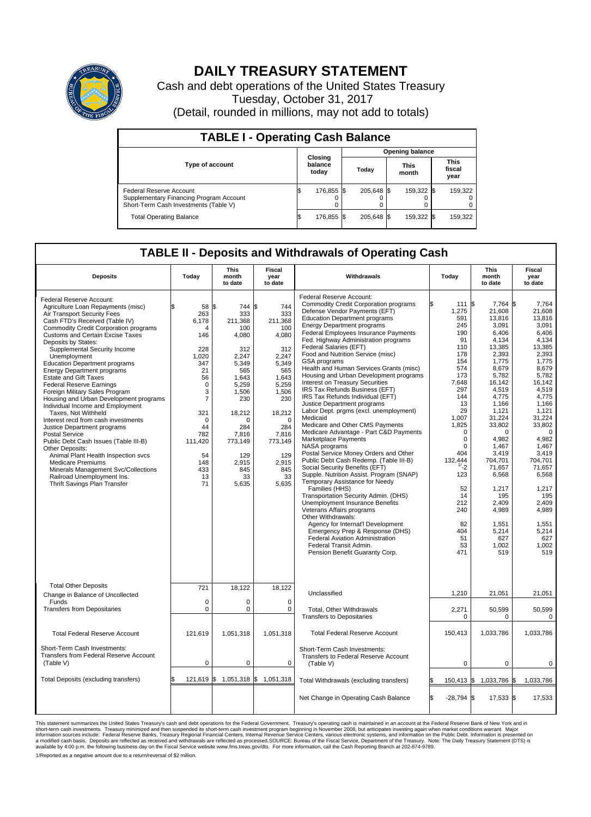

## **DAILY TREASURY STATEMENT**

Cash and debt operations of the United States Treasury Tuesday, October 31, 2017 (Detail, rounded in millions, may not add to totals)

| <b>TABLE I - Operating Cash Balance</b>                                                                     |                             |            |       |                        |                      |            |                               |         |  |  |
|-------------------------------------------------------------------------------------------------------------|-----------------------------|------------|-------|------------------------|----------------------|------------|-------------------------------|---------|--|--|
|                                                                                                             |                             |            |       | <b>Opening balance</b> |                      |            |                               |         |  |  |
| Type of account                                                                                             | Closing<br>balance<br>today |            | Todav |                        | <b>This</b><br>month |            | <b>This</b><br>fiscal<br>year |         |  |  |
| Federal Reserve Account<br>Supplementary Financing Program Account<br>Short-Term Cash Investments (Table V) |                             | 176,855 \$ |       | 205.648 \$             |                      | 159,322 \$ |                               | 159,322 |  |  |
| <b>Total Operating Balance</b>                                                                              |                             | 176,855 \$ |       | 205.648 \$             |                      | 159,322 \$ |                               | 159,322 |  |  |

## **TABLE II - Deposits and Withdrawals of Operating Cash**

|                                                                                                                                                                                                                                                                                                                                                                                                                                                                                                                                                                                                                                                                                                                                                                                                                                                                                                                             |                                                                                                                                                                                              | <b>This</b>                                                                                                                                                                                              | Fiscal                                                                                                                                                                                            |                                                                                                                                                                                                                                                                                                                                                                                                                                                                                                                                                                                                                                                                                                                                                                                                                                                                                                                                                                                                                                                                                                                                                                                                                                                                                                        |                                                                                                                                                                                                                                                                 | <b>This</b>                                                                                                                                                                                                                                                                                                                    | <b>Fiscal</b>                                                                                                                                                                                                                                                                                                        |
|-----------------------------------------------------------------------------------------------------------------------------------------------------------------------------------------------------------------------------------------------------------------------------------------------------------------------------------------------------------------------------------------------------------------------------------------------------------------------------------------------------------------------------------------------------------------------------------------------------------------------------------------------------------------------------------------------------------------------------------------------------------------------------------------------------------------------------------------------------------------------------------------------------------------------------|----------------------------------------------------------------------------------------------------------------------------------------------------------------------------------------------|----------------------------------------------------------------------------------------------------------------------------------------------------------------------------------------------------------|---------------------------------------------------------------------------------------------------------------------------------------------------------------------------------------------------|--------------------------------------------------------------------------------------------------------------------------------------------------------------------------------------------------------------------------------------------------------------------------------------------------------------------------------------------------------------------------------------------------------------------------------------------------------------------------------------------------------------------------------------------------------------------------------------------------------------------------------------------------------------------------------------------------------------------------------------------------------------------------------------------------------------------------------------------------------------------------------------------------------------------------------------------------------------------------------------------------------------------------------------------------------------------------------------------------------------------------------------------------------------------------------------------------------------------------------------------------------------------------------------------------------|-----------------------------------------------------------------------------------------------------------------------------------------------------------------------------------------------------------------------------------------------------------------|--------------------------------------------------------------------------------------------------------------------------------------------------------------------------------------------------------------------------------------------------------------------------------------------------------------------------------|----------------------------------------------------------------------------------------------------------------------------------------------------------------------------------------------------------------------------------------------------------------------------------------------------------------------|
| <b>Deposits</b>                                                                                                                                                                                                                                                                                                                                                                                                                                                                                                                                                                                                                                                                                                                                                                                                                                                                                                             | Today                                                                                                                                                                                        | month<br>to date                                                                                                                                                                                         | year<br>to date                                                                                                                                                                                   | Withdrawals                                                                                                                                                                                                                                                                                                                                                                                                                                                                                                                                                                                                                                                                                                                                                                                                                                                                                                                                                                                                                                                                                                                                                                                                                                                                                            | Today                                                                                                                                                                                                                                                           | month<br>to date                                                                                                                                                                                                                                                                                                               | year<br>to date                                                                                                                                                                                                                                                                                                      |
| Federal Reserve Account:<br>Agriculture Loan Repayments (misc)<br>Air Transport Security Fees<br>Cash FTD's Received (Table IV)<br><b>Commodity Credit Corporation programs</b><br><b>Customs and Certain Excise Taxes</b><br>Deposits by States:<br>Supplemental Security Income<br>Unemployment<br><b>Education Department programs</b><br><b>Energy Department programs</b><br><b>Estate and Gift Taxes</b><br><b>Federal Reserve Earnings</b><br>Foreign Military Sales Program<br>Housing and Urban Development programs<br>Individual Income and Employment<br>Taxes, Not Withheld<br>Interest recd from cash investments<br>Justice Department programs<br><b>Postal Service</b><br>Public Debt Cash Issues (Table III-B)<br>Other Deposits:<br>Animal Plant Health Inspection svcs<br><b>Medicare Premiums</b><br>Minerals Management Svc/Collections<br>Railroad Unemployment Ins.<br>Thrift Savings Plan Transfer | \$.<br>58<br>263<br>6,178<br>4<br>146<br>228<br>1,020<br>347<br>21<br>56<br>$\mathbf 0$<br>3<br>$\overline{7}$<br>321<br>$\mathbf 0$<br>44<br>782<br>111,420<br>54<br>148<br>433<br>13<br>71 | l\$<br>744 \$<br>333<br>211,368<br>100<br>4,080<br>312<br>2,247<br>5,349<br>565<br>1,643<br>5,259<br>1,506<br>230<br>18,212<br>$\Omega$<br>284<br>7.816<br>773,149<br>129<br>2,915<br>845<br>33<br>5,635 | 744<br>333<br>211,368<br>100<br>4,080<br>312<br>2,247<br>5,349<br>565<br>1,643<br>5,259<br>1,506<br>230<br>18,212<br>$\mathbf 0$<br>284<br>7,816<br>773,149<br>129<br>2,915<br>845<br>33<br>5,635 | Federal Reserve Account:<br><b>Commodity Credit Corporation programs</b><br>Defense Vendor Payments (EFT)<br><b>Education Department programs</b><br><b>Energy Department programs</b><br>Federal Employees Insurance Payments<br>Fed. Highway Administration programs<br>Federal Salaries (EFT)<br>Food and Nutrition Service (misc)<br><b>GSA</b> programs<br>Health and Human Services Grants (misc)<br>Housing and Urban Development programs<br>Interest on Treasury Securities<br>IRS Tax Refunds Business (EFT)<br>IRS Tax Refunds Individual (EFT)<br>Justice Department programs<br>Labor Dept. prgms (excl. unemployment)<br>Medicaid<br>Medicare and Other CMS Payments<br>Medicare Advantage - Part C&D Payments<br>Marketplace Payments<br><b>NASA</b> programs<br>Postal Service Money Orders and Other<br>Public Debt Cash Redemp. (Table III-B)<br>Social Security Benefits (EFT)<br>Supple. Nutrition Assist. Program (SNAP)<br>Temporary Assistance for Needy<br>Families (HHS)<br>Transportation Security Admin. (DHS)<br>Unemployment Insurance Benefits<br>Veterans Affairs programs<br>Other Withdrawals:<br>Agency for Internat'l Development<br>Emergency Prep & Response (DHS)<br>Federal Aviation Administration<br>Federal Transit Admin.<br>Pension Benefit Guaranty Corp. | Ŝ.<br>111<br>1,275<br>591<br>245<br>190<br>91<br>110<br>178<br>154<br>574<br>173<br>7,648<br>297<br>144<br>13<br>29<br>1.007<br>1,825<br>$\mathbf 0$<br>0<br>$\Omega$<br>404<br>132.444<br>1/2<br>123<br>52<br>14<br>212<br>240<br>82<br>404<br>51<br>53<br>471 | 7,764 \$<br>1\$<br>21,608<br>13,816<br>3,091<br>6.406<br>4,134<br>13,385<br>2,393<br>1,775<br>8,679<br>5,782<br>16,142<br>4,519<br>4,775<br>1,166<br>1,121<br>31.224<br>33,802<br>$\Omega$<br>4,982<br>1.467<br>3,419<br>704,701<br>71,657<br>6,568<br>1,217<br>195<br>2,409<br>4,989<br>1,551<br>5,214<br>627<br>1,002<br>519 | 7,764<br>21,608<br>13.816<br>3,091<br>6.406<br>4,134<br>13,385<br>2.393<br>1,775<br>8,679<br>5,782<br>16,142<br>4,519<br>4,775<br>1,166<br>1,121<br>31,224<br>33,802<br>$\Omega$<br>4,982<br>1.467<br>3,419<br>704.701<br>71,657<br>6,568<br>1,217<br>195<br>2,409<br>4,989<br>1,551<br>5,214<br>627<br>1,002<br>519 |
| <b>Total Other Deposits</b><br>Change in Balance of Uncollected                                                                                                                                                                                                                                                                                                                                                                                                                                                                                                                                                                                                                                                                                                                                                                                                                                                             | 721                                                                                                                                                                                          | 18,122                                                                                                                                                                                                   | 18,122                                                                                                                                                                                            | Unclassified                                                                                                                                                                                                                                                                                                                                                                                                                                                                                                                                                                                                                                                                                                                                                                                                                                                                                                                                                                                                                                                                                                                                                                                                                                                                                           | 1,210                                                                                                                                                                                                                                                           | 21,051                                                                                                                                                                                                                                                                                                                         | 21,051                                                                                                                                                                                                                                                                                                               |
| Funds<br><b>Transfers from Depositaries</b>                                                                                                                                                                                                                                                                                                                                                                                                                                                                                                                                                                                                                                                                                                                                                                                                                                                                                 | 0<br>$\mathbf 0$                                                                                                                                                                             | $\mathbf 0$<br>0                                                                                                                                                                                         | $\mathbf 0$<br>0                                                                                                                                                                                  | Total, Other Withdrawals<br><b>Transfers to Depositaries</b>                                                                                                                                                                                                                                                                                                                                                                                                                                                                                                                                                                                                                                                                                                                                                                                                                                                                                                                                                                                                                                                                                                                                                                                                                                           | 2,271<br>$\Omega$                                                                                                                                                                                                                                               | 50,599<br>$\Omega$                                                                                                                                                                                                                                                                                                             | 50,599<br>0                                                                                                                                                                                                                                                                                                          |
| <b>Total Federal Reserve Account</b>                                                                                                                                                                                                                                                                                                                                                                                                                                                                                                                                                                                                                                                                                                                                                                                                                                                                                        | 121,619                                                                                                                                                                                      | 1,051,318                                                                                                                                                                                                | 1,051,318                                                                                                                                                                                         | <b>Total Federal Reserve Account</b>                                                                                                                                                                                                                                                                                                                                                                                                                                                                                                                                                                                                                                                                                                                                                                                                                                                                                                                                                                                                                                                                                                                                                                                                                                                                   | 150,413                                                                                                                                                                                                                                                         | 1,033,786                                                                                                                                                                                                                                                                                                                      | 1,033,786                                                                                                                                                                                                                                                                                                            |
| Short-Term Cash Investments:<br><b>Transfers from Federal Reserve Account</b><br>(Table V)                                                                                                                                                                                                                                                                                                                                                                                                                                                                                                                                                                                                                                                                                                                                                                                                                                  | $\mathbf 0$                                                                                                                                                                                  | $\mathbf 0$                                                                                                                                                                                              | 0                                                                                                                                                                                                 | Short-Term Cash Investments:<br>Transfers to Federal Reserve Account<br>(Table V)                                                                                                                                                                                                                                                                                                                                                                                                                                                                                                                                                                                                                                                                                                                                                                                                                                                                                                                                                                                                                                                                                                                                                                                                                      | 0                                                                                                                                                                                                                                                               | $\mathbf 0$                                                                                                                                                                                                                                                                                                                    | 0                                                                                                                                                                                                                                                                                                                    |
| Total Deposits (excluding transfers)                                                                                                                                                                                                                                                                                                                                                                                                                                                                                                                                                                                                                                                                                                                                                                                                                                                                                        | $121,619$ \$                                                                                                                                                                                 | 1,051,318 \$                                                                                                                                                                                             | 1,051,318                                                                                                                                                                                         | Total Withdrawals (excluding transfers)                                                                                                                                                                                                                                                                                                                                                                                                                                                                                                                                                                                                                                                                                                                                                                                                                                                                                                                                                                                                                                                                                                                                                                                                                                                                | 150,413 \$                                                                                                                                                                                                                                                      | 1,033,786 \$                                                                                                                                                                                                                                                                                                                   | 1,033,786                                                                                                                                                                                                                                                                                                            |
|                                                                                                                                                                                                                                                                                                                                                                                                                                                                                                                                                                                                                                                                                                                                                                                                                                                                                                                             |                                                                                                                                                                                              |                                                                                                                                                                                                          |                                                                                                                                                                                                   | Net Change in Operating Cash Balance                                                                                                                                                                                                                                                                                                                                                                                                                                                                                                                                                                                                                                                                                                                                                                                                                                                                                                                                                                                                                                                                                                                                                                                                                                                                   | l\$<br>$-28,794$ \$                                                                                                                                                                                                                                             | $17,533$ \$                                                                                                                                                                                                                                                                                                                    | 17,533                                                                                                                                                                                                                                                                                                               |

This statement summarizes the United States Treasury's cash and debt operations for the Federal Government. Treasury soperating in November 2008, but anticalizate in neccount at the Federal Reserve Bank of New York and in<br> 1/Reported as a negative amount due to a return/reversal of \$2 million.